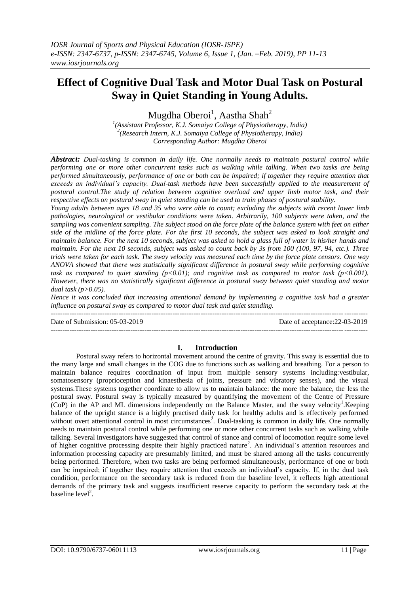# **Effect of Cognitive Dual Task and Motor Dual Task on Postural Sway in Quiet Standing in Young Adults.**

Mugdha Oberoi $^{\rm l}$ , Aastha Shah $^{\rm 2}$ 

*1 (Assistant Professor, K.J. Somaiya College of Physiotherapy, India) 2 (Research Intern, K.J. Somaiya College of Physiotherapy, India) Corresponding Author: Mugdha Oberoi*

*Abstract: Dual-tasking is common in daily life. One normally needs to maintain postural control while performing one or more other concurrent tasks such as walking while talking. When two tasks are being performed simultaneously, performance of one or both can be impaired; if together they require attention that exceeds an individual's capacity. Dual-task methods have been successfully applied to the measurement of postural control.The study of relation between cognitive overload and upper limb motor task, and their respective effects on postural sway in quiet standing can be used to train phases of postural stability.*

*Young adults between ages 18 and 35 who were able to count; excluding the subjects with recent lower limb pathologies, neurological or vestibular conditions were taken. Arbitrarily, 100 subjects were taken, and the sampling was convenient sampling. The subject stood on the force plate of the balance system with feet on either side of the midline of the force plate. For the first 10 seconds, the subject was asked to look straight and maintain balance. For the next 10 seconds, subject was asked to hold a glass full of water in his/her hands and maintain. For the next 10 seconds, subject was asked to count back by 3s from 100 (100, 97, 94, etc.). Three trials were taken for each task. The sway velocity was measured each time by the force plate censors. One way ANOVA showed that there was statistically significant difference in postural sway while performing cognitive*  task as compared to quiet standing  $(p<0.01)$ ; and cognitive task as compared to motor task  $(p<0.001)$ . *However, there was no statistically significant difference in postural sway between quiet standing and motor dual task (p>0.05).*

*Hence it was concluded that increasing attentional demand by implementing a cognitive task had a greater influence on postural sway as compared to motor dual task and quiet standing.*

--------------------------------------------------------------------------------------------------------------------------------------- Date of Submission: 05-03-2019 Date of acceptance:22-03-2019

---------------------------------------------------------------------------------------------------------------------------------------

# **I. Introduction**

Postural sway refers to horizontal movement around the centre of gravity. This sway is essential due to the many large and small changes in the COG due to functions such as walking and breathing. For a person to maintain balance requires coordination of input from multiple sensory systems including:vestibular, somatosensory (proprioception and kinaesthesia of joints, pressure and vibratory senses), and the visual systems.These systems together coordinate to allow us to maintain balance: the more the balance, the less the postural sway. Postural sway is typically measured by quantifying the movement of the Centre of Pressure  $(CoP)$  in the AP and ML dimensions independently on the Balance Master, and the sway velocity<sup>1</sup>. Keeping balance of the upright stance is a highly practised daily task for healthy adults and is effectively performed without overt attentional control in most circumstances<sup>2</sup>. Dual-tasking is common in daily life. One normally needs to maintain postural control while performing one or more other concurrent tasks such as walking while talking. Several investigators have suggested that control of stance and control of locomotion require some level of higher cognitive processing despite their highly practiced nature<sup>2</sup>. An individual's attention resources and information processing capacity are presumably limited, and must be shared among all the tasks concurrently being performed. Therefore, when two tasks are being performed simultaneously, performance of one or both can be impaired; if together they require attention that exceeds an individual's capacity. If, in the dual task condition, performance on the secondary task is reduced from the baseline level, it reflects high attentional demands of the primary task and suggests insufficient reserve capacity to perform the secondary task at the baseline  $level<sup>2</sup>$ .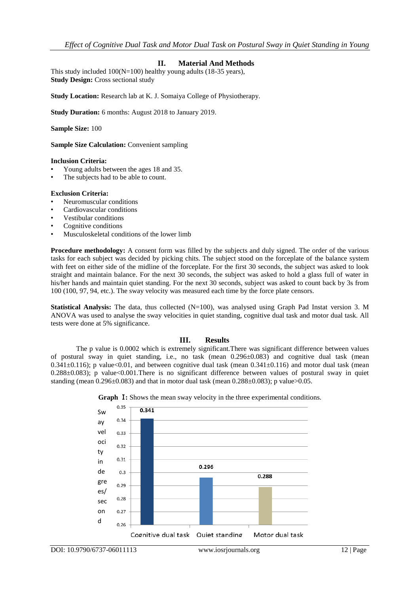# **II. Material And Methods**

This study included 100(N=100) healthy young adults (18-35 years), **Study Design:** Cross sectional study

**Study Location:** Research lab at K. J. Somaiya College of Physiotherapy.

**Study Duration:** 6 months: August 2018 to January 2019.

**Sample Size:** 100

**Sample Size Calculation: Convenient sampling** 

#### **Inclusion Criteria:**

- Young adults between the ages 18 and 35.
- The subjects had to be able to count.

#### **Exclusion Criteria:**

- Neuromuscular conditions
- Cardiovascular conditions
- Vestibular conditions
- Cognitive conditions
- Musculoskeletal conditions of the lower limb

**Procedure methodology:** A consent form was filled by the subjects and duly signed. The order of the various tasks for each subject was decided by picking chits. The subject stood on the forceplate of the balance system with feet on either side of the midline of the forceplate. For the first 30 seconds, the subject was asked to look straight and maintain balance. For the next 30 seconds, the subject was asked to hold a glass full of water in his/her hands and maintain quiet standing. For the next 30 seconds, subject was asked to count back by 3s from 100 (100, 97, 94, etc.). The sway velocity was measured each time by the force plate censors.

**Statistical Analysis:** The data, thus collected (N=100), was analysed using Graph Pad Instat version 3. M ANOVA was used to analyse the sway velocities in quiet standing, cognitive dual task and motor dual task. All tests were done at 5% significance.

## **III. Results**

The p value is 0.0002 which is extremely significant.There was significant difference between values of postural sway in quiet standing, i.e., no task (mean 0.296±0.083) and cognitive dual task (mean 0.341 $\pm$ 0.116); p value<0.01, and between cognitive dual task (mean 0.341 $\pm$ 0.116) and motor dual task (mean  $0.288\pm0.083$ ; p value< $0.001$ . There is no significant difference between values of postural sway in quiet standing (mean  $0.296\pm0.083$ ) and that in motor dual task (mean  $0.288\pm0.083$ ); p value $>0.05$ .